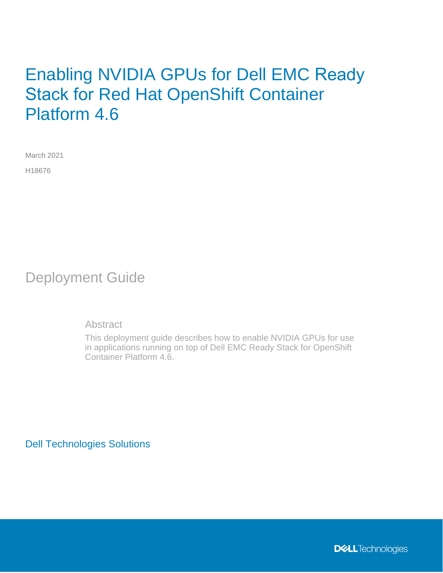# Enabling NVIDIA GPUs for Dell EMC Ready Stack for Red Hat OpenShift Container Platform 4.6

March 2021 H18676

Deployment Guide

Abstract

This deployment guide describes how to enable NVIDIA GPUs for use in applications running on top of Dell EMC Ready Stack for OpenShift Container Platform 4.6.

Dell Technologies Solutions

**DELL**Technologies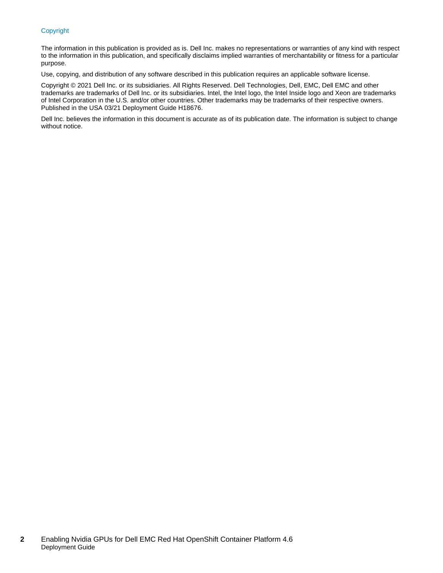#### Copyright

The information in this publication is provided as is. Dell Inc. makes no representations or warranties of any kind with respect to the information in this publication, and specifically disclaims implied warranties of merchantability or fitness for a particular purpose.

Use, copying, and distribution of any software described in this publication requires an applicable software license.

Copyright © 2021 Dell Inc. or its subsidiaries. All Rights Reserved. Dell Technologies, Dell, EMC, Dell EMC and other trademarks are trademarks of Dell Inc. or its subsidiaries. Intel, the Intel logo, the Intel Inside logo and Xeon are trademarks of Intel Corporation in the U.S. and/or other countries. Other trademarks may be trademarks of their respective owners. Published in the USA 03/21 Deployment Guide H18676.

Dell Inc. believes the information in this document is accurate as of its publication date. The information is subject to change without notice.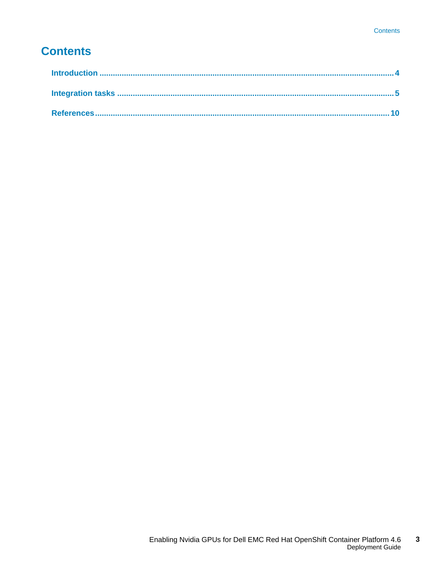# **Contents**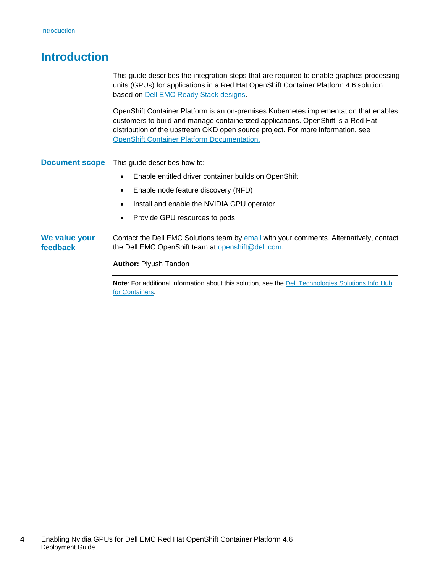## <span id="page-3-0"></span>**Introduction**

This guide describes the integration steps that are required to enable graphics processing units (GPUs) for applications in a Red Hat OpenShift Container Platform 4.6 solution based on [Dell EMC Ready Stack designs.](https://infohub.delltechnologies.com/t/design-guide-dell-emc-ready-stack-for-red-hat-openshift-container-platform-4-6/)

OpenShift Container Platform is an on-premises Kubernetes implementation that enables customers to build and manage containerized applications. OpenShift is a Red Hat distribution of the upstream OKD open source project. For more information, see [OpenShift Container Platform Documentation.](https://docs.openshift.com/container-platform/4.6/welcome/index.html)

This guide describes how to: **Document scope** 

- Enable entitled driver container builds on OpenShift
- Enable node feature discovery (NFD)
- Install and enable the NVIDIA GPU operator
- Provide GPU resources to pods

Contact the Dell EMC Solutions team by [email](mailto:EMC.Solution.Feedback@emc.com?subject=Feedback:%20Enabling%20NVIDIA%20GPUs%20for%20Dell%20EMC%20Red%20Hat%20OpenShift%20Container%20Platform%204.6%20(H18676)) with your comments. Alternatively, contact the Dell EMC OpenShift team at [openshift@dell.com.](mailto:openshift@dell.com) **We value your feedback**

**Author:** Piyush Tandon

**Note:** For additional information about this solution, see the Dell Technologies Solutions Info Hub [for Containers.](https://infohub.delltechnologies.com/t/red-hat-openshift-container-platform/)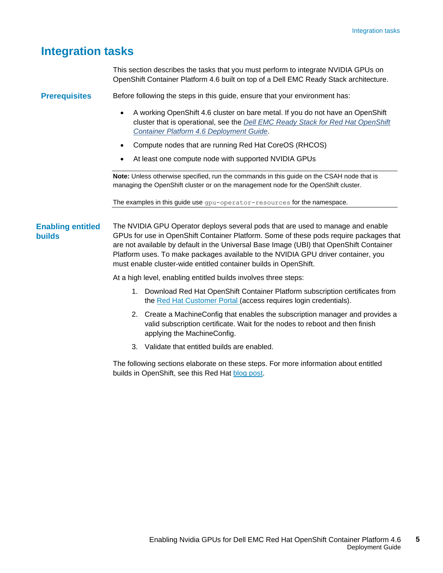### <span id="page-4-0"></span>**Integration tasks**

This section describes the tasks that you must perform to integrate NVIDIA GPUs on OpenShift Container Platform 4.6 built on top of a Dell EMC Ready Stack architecture.

Before following the steps in this guide, ensure that your environment has: **Prerequisites**

- A working OpenShift 4.6 cluster on bare metal. If you do not have an OpenShift cluster that is operational, see the *[Dell EMC Ready Stack for Red Hat OpenShift](https://infohub.delltechnologies.com/t/deployment-guide-dell-emc-ready-stack-for-red-hat-openshift-container-platform-4-6/) [Container Platform 4.6 Deployment Guide](https://infohub.delltechnologies.com/t/deployment-guide-dell-emc-ready-stack-for-red-hat-openshift-container-platform-4-6/)*.
- Compute nodes that are running Red Hat CoreOS (RHCOS)
- At least one compute node with supported NVIDIA GPUs

**Note:** Unless otherwise specified, run the commands in this guide on the CSAH node that is managing the OpenShift cluster or on the management node for the OpenShift cluster.

The examples in this guide use gpu-operator-resources for the namespace.

The NVIDIA GPU Operator deploys several pods that are used to manage and enable GPUs for use in OpenShift Container Platform. Some of these pods require packages that are not available by default in the Universal Base Image (UBI) that OpenShift Container Platform uses. To make packages available to the NVIDIA GPU driver container, you must enable cluster-wide entitled container builds in OpenShift. **Enabling entitled builds**

At a high level, enabling entitled builds involves three steps:

- 1. Download Red Hat OpenShift Container Platform subscription certificates from the [Red Hat Customer Portal](https://access.redhat.com/) (access requires login credentials).
- 2. Create a MachineConfig that enables the subscription manager and provides a valid subscription certificate. Wait for the nodes to reboot and then finish applying the MachineConfig.
- 3. Validate that entitled builds are enabled.

The following sections elaborate on these steps. For more information about entitled builds in OpenShift, see this Red Hat [blog](https://www.openshift.com/blog/how-to-use-entitled-image-builds-to-build-drivercontainers-with-ubi-on-openshift) post.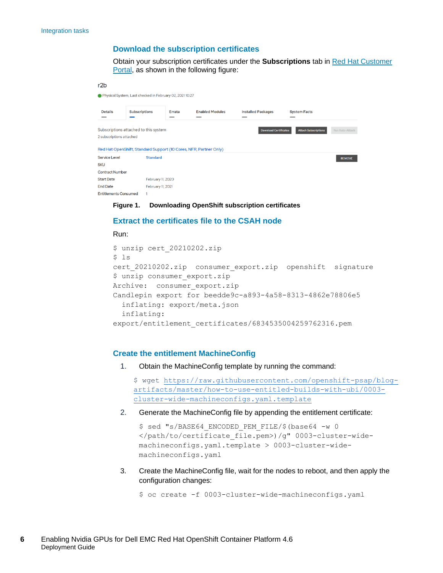#### **Download the subscription certificates**

Obtain your subscription certificates under the **Subscriptions** tab in [Red Hat Customer](https://access.redhat.com/)  [Portal,](https://access.redhat.com/) as shown in the following figure:

```
r2hPhysical System, Last checked in February 02, 2021 10:27
               Subscriptions Errata
                                             Enabled Modules
                                                                        Installed Packages
 Details
                                                                                                 System Facts
Subscriptions attached to this system
                                                                                 Download Certificates Attach Subscriptions Run Attach
2 subscriptions attached
Red Hat OpenShift, Standard Support (10 Cores, NFR, Partner Only)
Service Level
                      Standard
                                                                                                                         REMOVE
SKU
Contract Number
                     February 11, 2020
Start Date
                     February 11, 2021
End Date
Entitlements Consumed 1
```
**Figure 1. Downloading OpenShift subscription certificates**

#### **Extract the certificates file to the CSAH node**

#### Run:

```
$ unzip cert_20210202.zip
$ 1scert 20210202.zip consumer export.zip openshift signature
$ unzip consumer_export.zip
Archive: consumer export.zip
Candlepin export for beedde9c-a893-4a58-8313-4862e78806e5
   inflating: export/meta.json
   inflating: 
export/entitlement_certificates/6834535004259762316.pem
```
#### **Create the entitlement MachineConfig**

1. Obtain the MachineConfig template by running the command:

```
$ wget https://raw.githubusercontent.com/openshift-psap/blog-
artifacts/master/how-to-use-entitled-builds-with-ubi/0003-
cluster-wide-machineconfigs.yaml.template
```
2. Generate the MachineConfig file by appending the entitlement certificate:

```
$ sed "s/BASE64_ENCODED_PEM_FILE/$(base64 -w 0
</path/to/certificate_file.pem>)/g" 0003-cluster-wide-
machineconfigs.yaml.template > 0003-cluster-wide-
machineconfigs.yaml
```
3. Create the MachineConfig file, wait for the nodes to reboot, and then apply the configuration changes:

\$ oc create -f 0003-cluster-wide-machineconfigs.yaml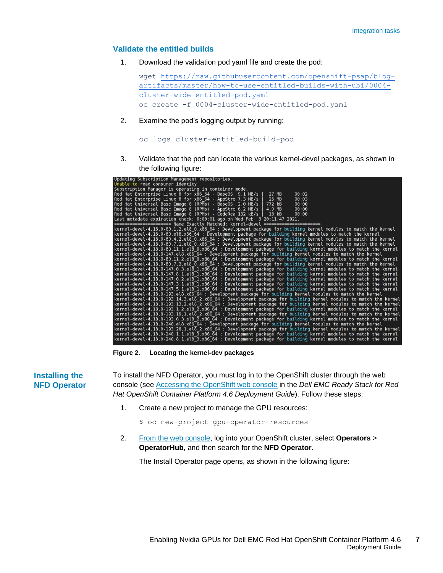#### **Validate the entitled builds**

1. Download the validation pod yaml file and create the pod:

```
wget https://raw.githubusercontent.com/openshift-psap/blog-
artifacts/master/how-to-use-entitled-builds-with-ubi/0004-
cluster-wide-entitled-pod.yaml
oc create -f 0004-cluster-wide-entitled-pod.yaml
```
2. Examine the pod's logging output by running:

```
oc logs cluster-entitled-build-pod
```
3. Validate that the pod can locate the various kernel-devel packages, as shown in the following figure:

| Updating Subscription Management repositories.                                                                  |
|-----------------------------------------------------------------------------------------------------------------|
| Unable to read consumer identity                                                                                |
| Subscription Manager is operating in container mode.                                                            |
| Red Hat Enterprise Linux 8 for x86 64 - BaseOS 9.1 MB/s<br>27 MB<br>00:02                                       |
| Red Hat Enterprise Linux 8 for x86 64 - AppStre 7.3 MB/s<br>25 MB<br>00:03                                      |
| Red Hat Universal Base Image 8 (RPMs) - BaseOS 2.0 MB/s<br>772 kB<br>00:00                                      |
| Red Hat Universal Base Image 8 (RPMs) - AppStre 6.2 MB/s<br>4.9 MB<br>00:00                                     |
| Red Hat Universal Base Image 8 (RPMs) - CodeRea 132 kB/s<br>$13$ kB<br>00:00                                    |
| Last metadata expiration check: $0:00:01$ ago on Wed Feb $3\ 20:11:47\ 2021$ .                                  |
| ======================= Name Exactly Matched: kernel-devel ======================                               |
| kernel-devel-4.18.0-80.1.2.el8 0.x86 64 : Development package for building kernel modules to match the kernel   |
| kernel-devel-4.18.0-80.el8.x86 64 : Development package for building kernel modules to match the kernel         |
| kernel-devel-4.18.0-80.4.2.el8 0.x86 64 : Development package for building kernel modules to match the kernel   |
| kernel-devel-4.18.0-80.7.1.el8 0.x86 64 : Development package for building kernel modules to match the kernel   |
| kernel-devel-4.18.0-80.11.1.el8 0.x86 64 : Development package for building kernel modules to match the kernel  |
| kernel-devel-4.18.0-147.el8.x86 64 : Development package for building kernel modules to match the kernel        |
| kernel-devel-4.18.0-80.11.2.el8 0.x86 64 : Development package for building kernel modules to match the kernel  |
| kernel-devel-4.18.0-80.7.2.el8 0.x86 64 : Development package for building kernel modules to match the kernel   |
| kernel-devel-4.18.0-147.0.3.el8_1.x86_64 : Development package for building kernel modules to match the kernel  |
| kernel-devel-4.18.0-147.8.1.el8 1.x86 64 : Development package for building kernel modules to match the kernel  |
| kernel-devel-4.18.0-147.0.2.el8 1.x86 64 : Development package for building kernel modules to match the kernel  |
| kernel-devel-4.18.0-147.3.1.el8 1.x86 64 : Development package for building kernel modules to match the kernel  |
| kernel-devel-4.18.0-147.5.1.el8 1.x86 64 : Development package for building kernel modules to match the kernel  |
| kernel-devel-4.18.0-193.el8.x86 64 : Development package for building kernel modules to match the kernel        |
| kernel-devel-4.18.0-193.14.3.el8 2.x86 64 : Development package for building kernel modules to match the kernel |
| kernel-devel-4.18.0-193.13.2.el8 2.x86 64 : Development package for building kernel modules to match the kernel |
| kernel-devel-4.18.0-193.1.2.el8 2.x86 64 : Development package for building kernel modules to match the kernel  |
| kernel-devel-4.18.0-193.19.1.el8 2.x86 64 : Development package for building kernel modules to match the kernel |
| kernel-devel-4.18.0-193.6.3.el8 2.x86 64 : Development package for building kernel modules to match the kernel  |
| kernel-devel-4.18.0-240.el8.x86 64 : Development package for building kernel modules to match the kernel        |
| kernel-devel-4.18.0-193.28.1.el8 2.x86 64 : Development package for building kernel modules to match the kernel |
| kernel-devel-4.18.0-240.1.1.el8_3.x86_64 : Development package for building kernel modules to match the kernel  |
| kernel-devel-4.18.0-240.8.1.el8 3.x86 64 : Development package for building kernel modules to match the kernel  |

**Figure 2. Locating the kernel-dev packages**

**Installing the NFD Operator** To install the NFD Operator, you must log in to the OpenShift cluster through the web console (se[e Accessing the OpenShift web console](https://infohub.delltechnologies.com/l/deployment-guide-dell-emc-ready-stack-for-red-hat-openshift-container-platform-4-6/accessing-the-openshift-web-console-8) in the *Dell EMC Ready Stack for Red Hat OpenShift Container Platform 4.6 Deployment Guide*). Follow these steps:

1. Create a new project to manage the GPU resources:

\$ oc new-project gpu-operator-resources

2. [From the web console,](https://infohub.delltechnologies.com/l/deployment-guide-dell-emc-ready-stack-for-red-hat-openshift-container-platform-4-6/accessing-the-openshift-web-console-8) log into your OpenShift cluster, select **Operators** > **OperatorHub,** and then search for the **NFD Operator**.

The Install Operator page opens, as shown in the following figure: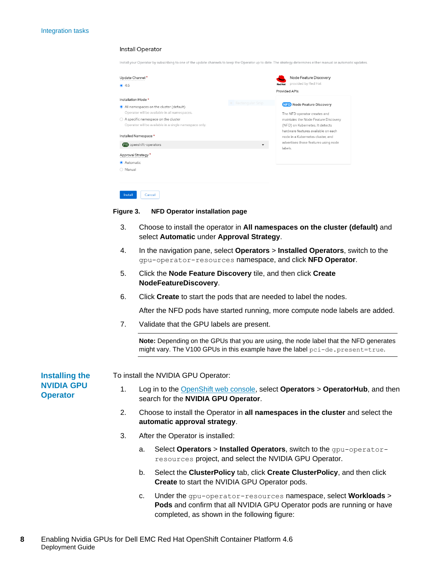|                                                                                                                                                                                                                                                                                | Install your Operator by subscribing to one of the update channels to keep the Operator up to date. The strategy determines either manual or automatic updates.                                                                                                                            |
|--------------------------------------------------------------------------------------------------------------------------------------------------------------------------------------------------------------------------------------------------------------------------------|--------------------------------------------------------------------------------------------------------------------------------------------------------------------------------------------------------------------------------------------------------------------------------------------|
| Update Channel*<br>● 4.6                                                                                                                                                                                                                                                       | Node Feature Discovery<br>provided by Red Hat<br><b>Red Hat</b><br>Provided APIs                                                                                                                                                                                                           |
| Installation Mode *<br>All namespaces on the cluster (default)<br>Operator will be available in all namespaces.<br>$\bigcirc$ A specific namespace on the cluster<br>Operator will be available in a single namespace only.<br>Installed Namespace *<br>PR openshift-operators | • Rectangular Snip<br>NFD Node Feature Discovery<br>The NFD operator creates and<br>maintains the Node Feature Discovery<br>(NFD) on Kubernetes. It detects<br>hardware features available on each<br>node in a Kubernetes cluster, and<br>advertises those features using node<br>labels. |
| Approval Strategy <sup>*</sup><br>Automatic<br>○ Manual<br>Install<br>Cancel                                                                                                                                                                                                   |                                                                                                                                                                                                                                                                                            |

#### **Figure 3. NFD Operator installation page**

Install Operator

- 3. Choose to install the operator in **All namespaces on the cluster (default)** and select **Automatic** under **Approval Strategy**.
- 4. In the navigation pane, select **Operators** > **Installed Operators**, switch to the gpu-operator-resources namespace, and click **NFD Operator**.
- 5. Click the **Node Feature Discovery** tile, and then click **Create NodeFeatureDiscovery**.
- 6. Click **Create** to start the pods that are needed to label the nodes.

After the NFD pods have started running, more compute node labels are added.

7. Validate that the GPU labels are present.

**Note:** Depending on the GPUs that you are using, the node label that the NFD generates might vary. The V100 GPUs in this example have the label pci-de.present=true.

**Installing the NVIDIA GPU Operator**

To install the NVIDIA GPU Operator:

- 1. Log in to the [OpenShift web console,](https://infohub.delltechnologies.com/l/deployment-guide-dell-emc-ready-stack-for-red-hat-openshift-container-platform-4-6/accessing-the-openshift-web-console-8) select **Operators** > **OperatorHub**, and then search for the **NVIDIA GPU Operator**.
- 2. Choose to install the Operator in **all namespaces in the cluster** and select the **automatic approval strategy**.
- 3. After the Operator is installed:
	- a. Select **Operators** > **Installed Operators**, switch to the gpu-operatorresources project, and select the NVIDIA GPU Operator.
	- b. Select the **ClusterPolicy** tab, click **Create ClusterPolicy**, and then click **Create** to start the NVIDIA GPU Operator pods.
	- c. Under the gpu-operator-resources namespace, select **Workloads** > **Pods** and confirm that all NVIDIA GPU Operator pods are running or have completed, as shown in the following figure: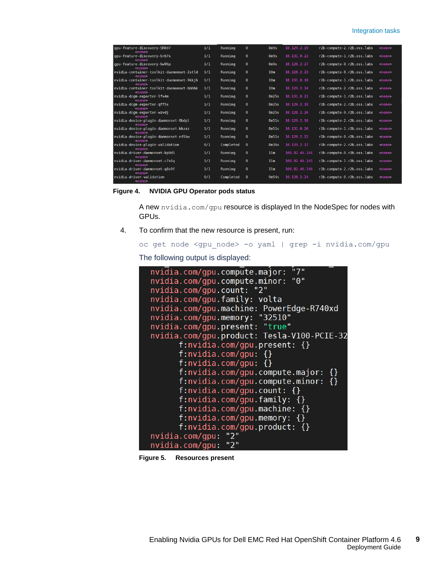#### Integration tasks

| gpu-feature-discovery-5hh97<br>$nonez$                    | 1/1 | Runnina   | $\theta$ | 8m9s            | 10.129.2.19   | r2b-compute-2.r2b.oss.labs | $none$        |
|-----------------------------------------------------------|-----|-----------|----------|-----------------|---------------|----------------------------|---------------|
| qpu-feature-discovery-6rb7x<br>$nonez$                    | 1/1 | Running   | $\theta$ | 8m9s            | 10.131.0.22   | r2b-compute-1.r2b.oss.labs | $none$        |
| qpu-feature-discovery-6w96p<br>$nonez$                    | 1/1 | Running   | $\theta$ | 8m9s            | 10.128.2.27   | r2b-compute-0.r2b.oss.labs | $none$        |
| nvidia-container-toolkit-daemonset-2stld<br>$nonez$       | 1/1 | Running   | $\theta$ | 10 <sub>m</sub> | 10.128.2.23   | r2b-compute-0.r2b.oss.labs | $none$        |
| nvidia container toolkit daemonset 9kkjh<br><none></none> | 1/1 | Running   | $\theta$ | 10 <sub>m</sub> | 10.131.0.18   | r2b-compute-1.r2b.oss.labs | <none></none> |
| nvidia-container-toolkit-daemonset-bbhbk<br>$nonez$       | 1/1 | Running   | $\theta$ | 10 <sub>m</sub> | 10.129.2.14   | r2b-compute-2.r2b.oss.labs | <none></none> |
| nvidia-dcgm-exporter-lfv4m<br>$nonez$                     | 1/1 | Runnina   | $\theta$ | 8m25s           | 10.131.0.21   | r2b-compute-1.r2b.oss.labs | $none$        |
| nvidia-dcgm-exporter-gff5s<br>$none$                      | 1/1 | Runnina   | $\theta$ | 8m25s           | 10.129.2.18   | r2b-compute-2.r2b.oss.labs | $nonez$       |
| nvidia-dcgm-exporter-wzvdj<br>$<$ none $>$                | 1/1 | Running   | $\bf{0}$ | 8m25s           | 10.128.2.26   | r2b-compute-0.r2b.oss.labs | <none></none> |
| nvidia-device-plugin-daemonset-8bdpl<br>$nonez$           | 1/1 | Running   | $\theta$ | 8m51s           | 10.129.2.16   | r2b-compute-2.r2b.oss.labs | $none$        |
| nvidia-device-plugin-daemonset-kkzxz<br>$nonez$           | 1/1 | Running   | $\theta$ | 8m51s           | 10.131.0.20   | r2b-compute-1.r2b.oss.labs | <none></none> |
| nvidia-device-plugin-daemonset-r4lbw<br>$<$ none $>$      | 1/1 | Running   | 0        | 8m51s           | 10.128.2.25   | r2b-compute-0.r2b.oss.labs | $none$        |
| nvidia-device-plugin-validation<br>$none$                 | 0/1 | Completed | $\theta$ | 8m36s           | 10.129.2.17   | r2b-compute-2.r2b.oss.labs | $none$        |
| nvidia-driver-daemonset-bp9d5<br>$none$                   | 1/1 | Running   | $\theta$ | 11 <sub>m</sub> | 100.82.46.144 | r2b-compute-0.r2b.oss.labs | <none></none> |
| nvidia-driver-daemonset-c7x6g<br>$nonez$                  | 1/1 | Runnina   | $\theta$ | 11 <sub>m</sub> | 100.82.46.145 | r2b-compute-1.r2b.oss.labs | $none$        |
| nvidia-driver-daemonset-q8v9f<br>$none$                   | 1/1 | Running   | $\theta$ | 11m             | 100.82.46.146 | r2b-compute-2.r2b.oss.labs | <none></none> |
| nvidia-driver-validation<br><none></none>                 | 0/1 | Completed | $\theta$ | 9m54s           | 10.128.2.24   | r2b-compute-0.r2b.oss.labs | <none></none> |

**Figure 4. NVIDIA GPU Operator pods status**

A new nvidia.com/gpu resource is displayed In the NodeSpec for nodes with GPUs.

4. To confirm that the new resource is present, run:

```
oc get node <gpu_node> -o yaml | grep -i nvidia.com/gpu
```
The following output is displayed:

```
nvidia.com/qpu.compute.major:
                               "7"
nvidia.com/gpu.compute.minor: "0"
nvidia.com/gpu.count: "2"
nvidia.com/gpu.family: volta
nvidia.com/gpu.machine: PowerEdge-R740xd
nvidia.com/gpu.macniner.com/Ex
nvidia.com/gpu.present: "true"
nvidia.com/qpu.product: Tesla-V100-PCIE-32
      f: nvidia.com/gpu.present: \{\}f: nvidia.com/gpu: \{\}f: nvidia.com/gpu: \{\}f: nvidia.com/qpu.compute.major: \{\}f:nvidia.com/gpu.compute.minor: {}
      f: nvidia.com/gpu.count: {}f:nvidia.com/gpu.family: {}
      f:nvidia.com/gpu.machine: {}
      f:nvidia.com/gpu.memory: {}
      f:nvidia.com/gpu.product: {}
nvidia.com/gpu: "2"
nvidia.com/gpu: "2"
```
**Figure 5. Resources present**